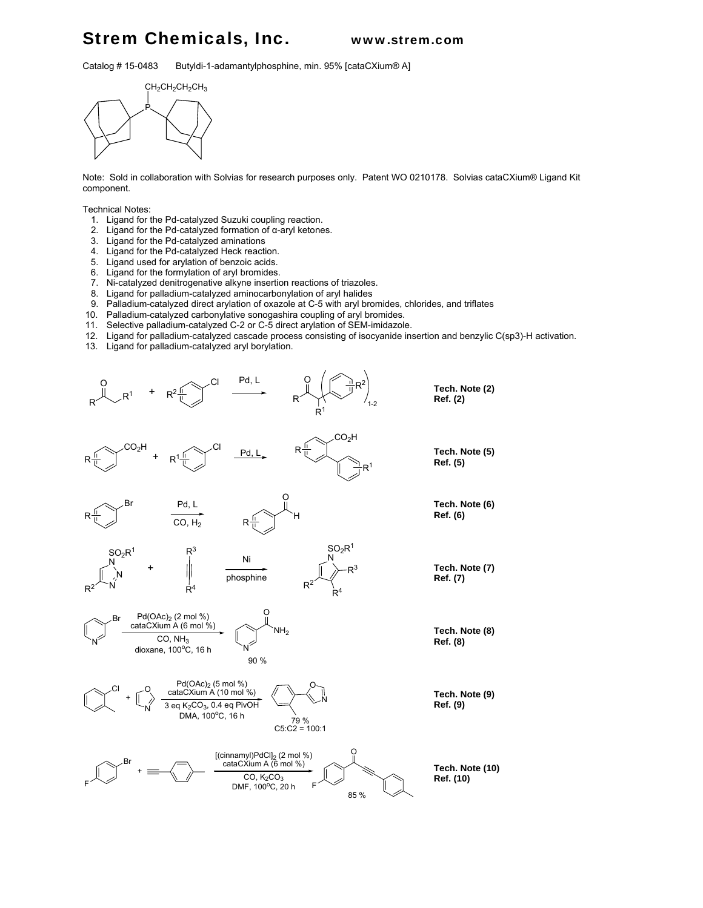## Strem Chemicals, Inc. www.strem.com

Catalog # 15-0483 Butyldi-1-adamantylphosphine, min. 95% [cataCXium® A]



Note: Sold in collaboration with Solvias for research purposes only. Patent WO 0210178. Solvias cataCXium® Ligand Kit component.

Technical Notes:

- 1. Ligand for the Pd-catalyzed Suzuki coupling reaction.
- 2. Ligand for the Pd-catalyzed formation of α-aryl ketones.
- 3. Ligand for the Pd-catalyzed aminations
- 4. Ligand for the Pd-catalyzed Heck reaction.
- 5. Ligand used for arylation of benzoic acids.
- 6. Ligand for the formylation of aryl bromides.
- 7. Ni-catalyzed denitrogenative alkyne insertion reactions of triazoles.
- 8. Ligand for palladium-catalyzed aminocarbonylation of aryl halides
- 9. Palladium-catalyzed direct arylation of oxazole at C-5 with aryl bromides, chlorides, and triflates
- 10. Palladium-catalyzed carbonylative sonogashira coupling of aryl bromides.
- 11. Selective palladium-catalyzed C-2 or C-5 direct arylation of SEM-imidazole.
- 12. Ligand for palladium-catalyzed cascade process consisting of isocyanide insertion and benzylic C(sp3)-H activation.
- 13. Ligand for palladium-catalyzed aryl borylation.